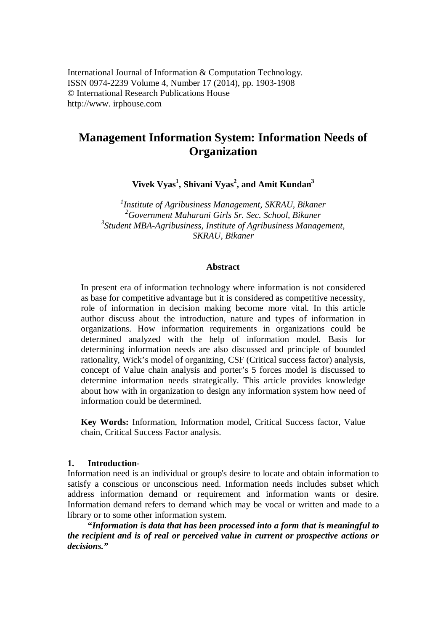# **Management Information System: Information Needs of Organization**

**Vivek Vyas<sup>1</sup> , Shivani Vyas<sup>2</sup> , and Amit Kundan<sup>3</sup>**

 *Institute of Agribusiness Management, SKRAU, Bikaner Government Maharani Girls Sr. Sec. School, Bikaner Student MBA-Agribusiness, Institute of Agribusiness Management, SKRAU, Bikaner*

#### **Abstract**

In present era of information technology where information is not considered as base for competitive advantage but it is considered as competitive necessity, role of information in decision making become more vital. In this article author discuss about the introduction, nature and types of information in organizations. How information requirements in organizations could be determined analyzed with the help of information model. Basis for determining information needs are also discussed and principle of bounded rationality, Wick's model of organizing, CSF (Critical success factor) analysis, concept of Value chain analysis and porter's 5 forces model is discussed to determine information needs strategically. This article provides knowledge about how with in organization to design any information system how need of information could be determined.

**Key Words:** Information, Information model, Critical Success factor, Value chain, Critical Success Factor analysis.

#### **1. Introduction**-

Information need is an individual or group's desire to locate and obtain information to satisfy a conscious or unconscious need. Information needs includes subset which address information demand or requirement and information wants or desire. Information demand refers to demand which may be vocal or written and made to a library or to some other information system.

**"***Information is data that has been processed into a form that is meaningful to the recipient and is of real or perceived value in current or prospective actions or decisions."*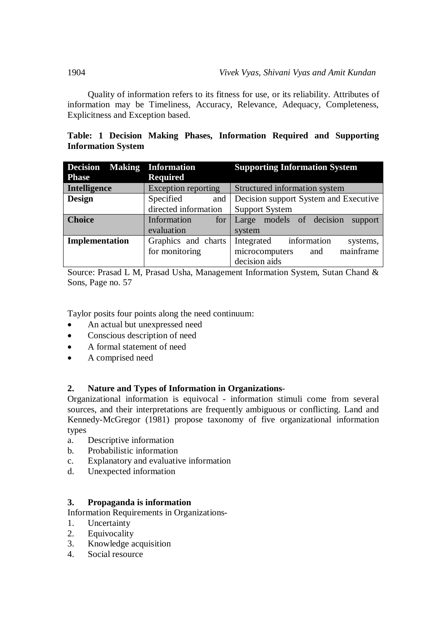Quality of information refers to its fitness for use, or its reliability. Attributes of information may be Timeliness, Accuracy, Relevance, Adequacy, Completeness, Explicitness and Exception based.

|  |                           |  | Table: 1 Decision Making Phases, Information Required and Supporting |  |  |
|--|---------------------------|--|----------------------------------------------------------------------|--|--|
|  | <b>Information System</b> |  |                                                                      |  |  |

| <b>Decision Making Information</b> |                            | <b>Supporting Information System</b>  |  |  |
|------------------------------------|----------------------------|---------------------------------------|--|--|
| <b>Phase</b>                       | <b>Required</b>            |                                       |  |  |
| Intelligence                       | <b>Exception reporting</b> | Structured information system         |  |  |
| <b>Design</b>                      | Specified<br>and           | Decision support System and Executive |  |  |
|                                    | directed information       | <b>Support System</b>                 |  |  |
| <b>Choice</b>                      | Information<br>for         | Large models of decision<br>support   |  |  |
|                                    | evaluation                 | system                                |  |  |
| Implementation                     | Graphics and charts        | Integrated information<br>systems,    |  |  |
|                                    | for monitoring             | mainframe<br>microcomputers<br>and    |  |  |
|                                    |                            | decision aids                         |  |  |

Source: Prasad L M, Prasad Usha, Management Information System, Sutan Chand & Sons, Page no. 57

Taylor posits four points along the need continuum:

- An actual but unexpressed need
- Conscious description of need
- A formal statement of need
- A comprised need

# **2. Nature and Types of Information in Organizations**-

Organizational information is equivocal - information stimuli come from several sources, and their interpretations are frequently ambiguous or conflicting. Land and Kennedy-McGregor (1981) propose taxonomy of five organizational information types

- a. Descriptive information
- b. Probabilistic information
- c. Explanatory and evaluative information
- d. Unexpected information

# **3. Propaganda is information**

Information Requirements in Organizations-

- 1. Uncertainty
- 2. Equivocality
- 3. Knowledge acquisition
- 4. Social resource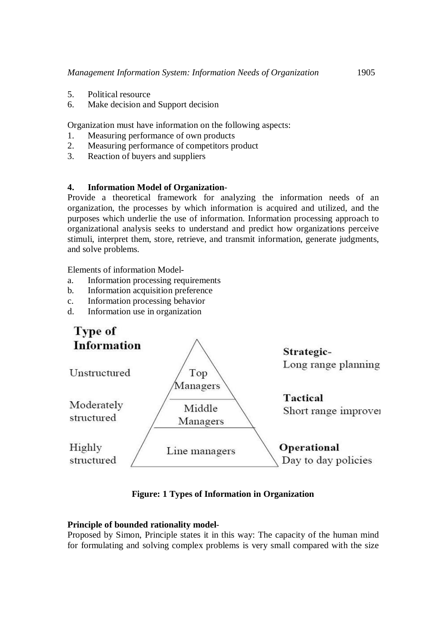- 5. Political resource
- 6. Make decision and Support decision

Organization must have information on the following aspects:

- 1. Measuring performance of own products
- 2. Measuring performance of competitors product
- 3. Reaction of buyers and suppliers

### **4. Information Model of Organization**-

Provide a theoretical framework for analyzing the information needs of an organization, the processes by which information is acquired and utilized, and the purposes which underlie the use of information. Information processing approach to organizational analysis seeks to understand and predict how organizations perceive stimuli, interpret them, store, retrieve, and transmit information, generate judgments, and solve problems.

Elements of information Model-

- a. Information processing requirements
- b. Information acquisition preference
- c. Information processing behavior
- d. Information use in organization



**Figure: 1 Types of Information in Organization**

#### **Principle of bounded rationality model**-

Proposed by Simon, Principle states it in this way: The capacity of the human mind for formulating and solving complex problems is very small compared with the size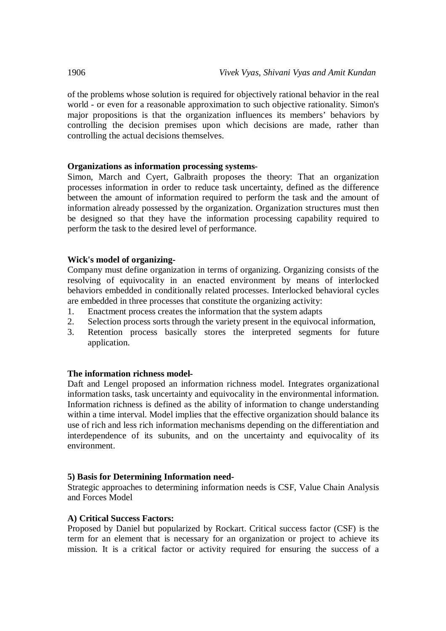of the problems whose solution is required for objectively rational behavior in the real world - or even for a reasonable approximation to such objective rationality. Simon's major propositions is that the organization influences its members' behaviors by controlling the decision premises upon which decisions are made, rather than controlling the actual decisions themselves.

# **Organizations as information processing systems**-

Simon, March and Cyert, Galbraith proposes the theory: That an organization processes information in order to reduce task uncertainty, defined as the difference between the amount of information required to perform the task and the amount of information already possessed by the organization. Organization structures must then be designed so that they have the information processing capability required to perform the task to the desired level of performance.

### **Wick's model of organizing-**

Company must define organization in terms of organizing. Organizing consists of the resolving of equivocality in an enacted environment by means of interlocked behaviors embedded in conditionally related processes. Interlocked behavioral cycles are embedded in three processes that constitute the organizing activity:

- 1. Enactment process creates the information that the system adapts
- 2. Selection process sorts through the variety present in the equivocal information,
- 3. Retention process basically stores the interpreted segments for future application.

# **The information richness model-**

Daft and Lengel proposed an information richness model. Integrates organizational information tasks, task uncertainty and equivocality in the environmental information. Information richness is defined as the ability of information to change understanding within a time interval. Model implies that the effective organization should balance its use of rich and less rich information mechanisms depending on the differentiation and interdependence of its subunits, and on the uncertainty and equivocality of its environment.

#### **5) Basis for Determining Information need-**

Strategic approaches to determining information needs is CSF, Value Chain Analysis and Forces Model

# **A) Critical Success Factors:**

Proposed by Daniel but popularized by Rockart. Critical success factor (CSF) is the term for an element that is necessary for an organization or project to achieve its mission. It is a critical factor or activity required for ensuring the success of a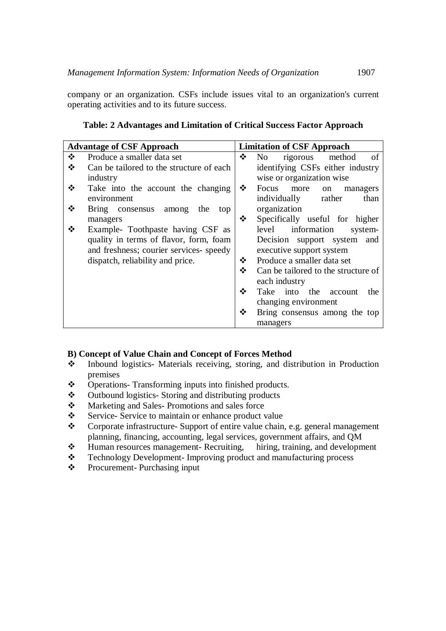company or an organization. CSFs include issues vital to an organization's current operating activities and to its future success.

|   | <b>Advantage of CSF Approach</b>         | <b>Limitation of CSF Approach</b> |                                         |  |  |
|---|------------------------------------------|-----------------------------------|-----------------------------------------|--|--|
| ❖ |                                          |                                   |                                         |  |  |
|   | Produce a smaller data set               | ❖                                 | of<br>rigorous method<br>N <sub>0</sub> |  |  |
| ❖ | Can be tailored to the structure of each |                                   | identifying CSFs either industry        |  |  |
|   | industry                                 |                                   | wise or organization wise               |  |  |
| ❖ | Take into the account the changing       | ❖                                 | Focus<br>more<br>on<br>managers         |  |  |
|   | environment                              |                                   | individually<br>rather<br>than          |  |  |
| ❖ | Bring consensus among<br>the<br>top      |                                   | organization                            |  |  |
|   | managers                                 | ❖                                 | Specifically useful for higher          |  |  |
|   | Example- Toothpaste having CSF as        |                                   | information<br>level<br>system-         |  |  |
|   | quality in terms of flavor, form, foam   |                                   | Decision support system and             |  |  |
|   | and freshness; courier services- speedy  |                                   | executive support system                |  |  |
|   | dispatch, reliability and price.         | ❖                                 | Produce a smaller data set              |  |  |
|   |                                          | ❖                                 | Can be tailored to the structure of     |  |  |
|   |                                          |                                   | each industry                           |  |  |
|   |                                          | ❖                                 | Take into the account<br>the            |  |  |
|   |                                          |                                   | changing environment                    |  |  |
|   |                                          | ❖                                 | Bring consensus among the top           |  |  |
|   |                                          |                                   | managers                                |  |  |

## **Table: 2 Advantages and Limitation of Critical Success Factor Approach**

#### **B) Concept of Value Chain and Concept of Forces Method**

- Inbound logistics- Materials receiving, storing, and distribution in Production premises
- Operations- Transforming inputs into finished products.
- Outbound logistics- Storing and distributing products
- Marketing and Sales- Promotions and sales force
- Service- Service to maintain or enhance product value<br>
Corporate infrastructure- Support of entire value chain
- Corporate infrastructure- Support of entire value chain, e.g. general management planning, financing, accounting, legal services, government affairs, and QM<br>Human resources management-Recruiting, hiring, training, and development
- $\div$  Human resources management- Recruiting,
- $\div$  Technology Development- Improving product and manufacturing process Procurement- Purchasing input
- Procurement- Purchasing input